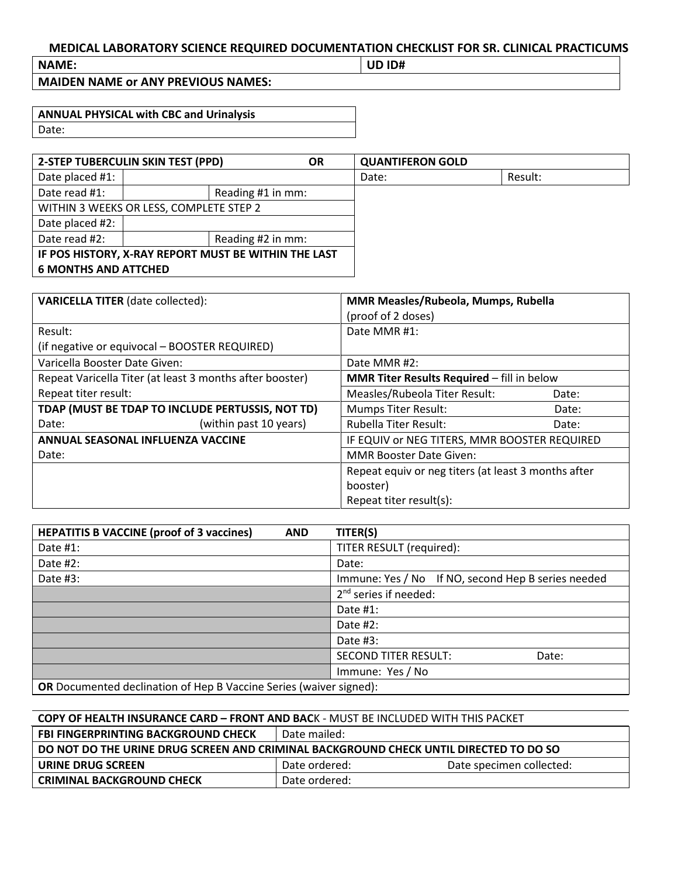## **MEDICAL LABORATORY SCIENCE REQUIRED DOCUMENTATION CHECKLIST FOR SR. CLINICAL PRACTICUMS**

**NAME: UD ID#**

**MAIDEN NAME or ANY PREVIOUS NAMES:**

| <b>ANNUAL PHYSICAL with CBC and Urinalysis</b> |  |
|------------------------------------------------|--|
| Date:                                          |  |

| 2-STEP TUBERCULIN SKIN TEST (PPD)                    |  | <b>OR</b>         | <b>QUANTIFERON GOLD</b> |         |
|------------------------------------------------------|--|-------------------|-------------------------|---------|
| Date placed #1:                                      |  |                   | Date:                   | Result: |
| Date read #1:                                        |  | Reading #1 in mm: |                         |         |
| WITHIN 3 WEEKS OR LESS, COMPLETE STEP 2              |  |                   |                         |         |
| Date placed #2:                                      |  |                   |                         |         |
| Date read #2:                                        |  | Reading #2 in mm: |                         |         |
| IF POS HISTORY, X-RAY REPORT MUST BE WITHIN THE LAST |  |                   |                         |         |
| <b>6 MONTHS AND ATTCHED</b>                          |  |                   |                         |         |

| <b>VARICELLA TITER</b> (date collected):                 | MMR Measles/Rubeola, Mumps, Rubella                 |  |
|----------------------------------------------------------|-----------------------------------------------------|--|
|                                                          | (proof of 2 doses)                                  |  |
| Result:                                                  | Date MMR#1:                                         |  |
| (if negative or equivocal - BOOSTER REQUIRED)            |                                                     |  |
| Varicella Booster Date Given:                            | Date MMR#2:                                         |  |
| Repeat Varicella Titer (at least 3 months after booster) | <b>MMR Titer Results Required - fill in below</b>   |  |
| Repeat titer result:                                     | Measles/Rubeola Titer Result:<br>Date:              |  |
| TDAP (MUST BE TDAP TO INCLUDE PERTUSSIS, NOT TD)         | <b>Mumps Titer Result:</b><br>Date:                 |  |
| (within past 10 years)<br>Date:                          | <b>Rubella Titer Result:</b><br>Date:               |  |
| ANNUAL SEASONAL INFLUENZA VACCINE                        | IF EQUIV or NEG TITERS, MMR BOOSTER REQUIRED        |  |
| Date:                                                    | <b>MMR Booster Date Given:</b>                      |  |
|                                                          | Repeat equiv or neg titers (at least 3 months after |  |
|                                                          | booster)                                            |  |
|                                                          | Repeat titer result(s):                             |  |

| <b>HEPATITIS B VACCINE (proof of 3 vaccines)</b><br><b>AND</b>     | TITER(S)                                           |  |
|--------------------------------------------------------------------|----------------------------------------------------|--|
| Date #1:                                                           | TITER RESULT (required):                           |  |
| Date #2:                                                           | Date:                                              |  |
| Date #3:                                                           | Immune: Yes / No If NO, second Hep B series needed |  |
|                                                                    | $2nd$ series if needed:                            |  |
|                                                                    | Date $#1$ :                                        |  |
|                                                                    | Date $#2$ :                                        |  |
|                                                                    | Date #3:                                           |  |
|                                                                    | <b>SECOND TITER RESULT:</b><br>Date:               |  |
|                                                                    | Immune: Yes / No                                   |  |
| OR Documented declination of Hen B Vaccine Series (waiver signed). |                                                    |  |

**OR** Documented declination of Hep B Vaccine Series (waiver signed):

## **COPY OF HEALTH INSURANCE CARD – FRONT AND BAC**K - MUST BE INCLUDED WITH THIS PACKET

| <b>FBI FINGERPRINTING BACKGROUND CHECK</b>                                            | Date mailed:  |                          |  |  |  |  |
|---------------------------------------------------------------------------------------|---------------|--------------------------|--|--|--|--|
| DO NOT DO THE URINE DRUG SCREEN AND CRIMINAL BACKGROUND CHECK UNTIL DIRECTED TO DO SO |               |                          |  |  |  |  |
| URINE DRUG SCREEN                                                                     | Date ordered: | Date specimen collected: |  |  |  |  |
| <b>CRIMINAL BACKGROUND CHECK</b>                                                      | Date ordered: |                          |  |  |  |  |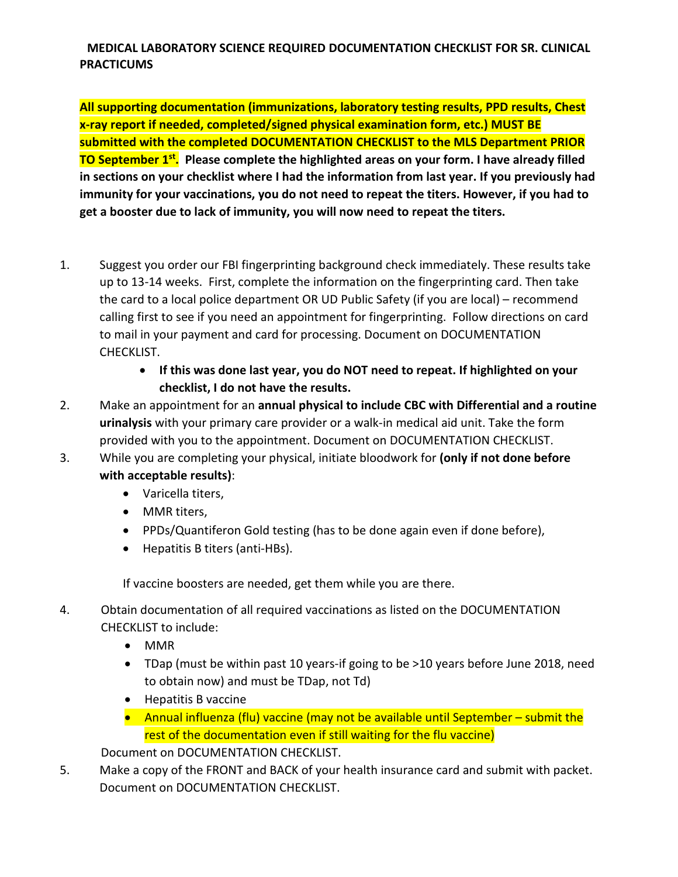## **MEDICAL LABORATORY SCIENCE REQUIRED DOCUMENTATION CHECKLIST FOR SR. CLINICAL PRACTICUMS**

**All supporting documentation (immunizations, laboratory testing results, PPD results, Chest x-ray report if needed, completed/signed physical examination form, etc.) MUST BE submitted with the completed DOCUMENTATION CHECKLIST to the MLS Department PRIOR TO September 1<sup>st</sup>.** Please complete the highlighted areas on your form. I have already filled **in sections on your checklist where I had the information from last year. If you previously had immunity for your vaccinations, you do not need to repeat the titers. However, if you had to get a booster due to lack of immunity, you will now need to repeat the titers.** 

- 1. Suggest you order our FBI fingerprinting background check immediately. These results take up to 13-14 weeks. First, complete the information on the fingerprinting card. Then take the card to a local police department OR UD Public Safety (if you are local) – recommend calling first to see if you need an appointment for fingerprinting. Follow directions on card to mail in your payment and card for processing. Document on DOCUMENTATION CHECKLIST.
	- **If this was done last year, you do NOT need to repeat. If highlighted on your checklist, I do not have the results.**
- 2. Make an appointment for an **annual physical to include CBC with Differential and a routine urinalysis** with your primary care provider or a walk-in medical aid unit. Take the form provided with you to the appointment. Document on DOCUMENTATION CHECKLIST.
- 3. While you are completing your physical, initiate bloodwork for **(only if not done before with acceptable results)**:
	- Varicella titers,
	- MMR titers,
	- PPDs/Quantiferon Gold testing (has to be done again even if done before),
	- Hepatitis B titers (anti-HBs).

If vaccine boosters are needed, get them while you are there.

- 4. Obtain documentation of all required vaccinations as listed on the DOCUMENTATION CHECKLIST to include:
	- MMR
	- TDap (must be within past 10 years-if going to be >10 years before June 2018, need to obtain now) and must be TDap, not Td)
	- Hepatitis B vaccine
	- Annual influenza (flu) vaccine (may not be available until September submit the rest of the documentation even if still waiting for the flu vaccine)

Document on DOCUMENTATION CHECKLIST.

5. Make a copy of the FRONT and BACK of your health insurance card and submit with packet. Document on DOCUMENTATION CHECKLIST.